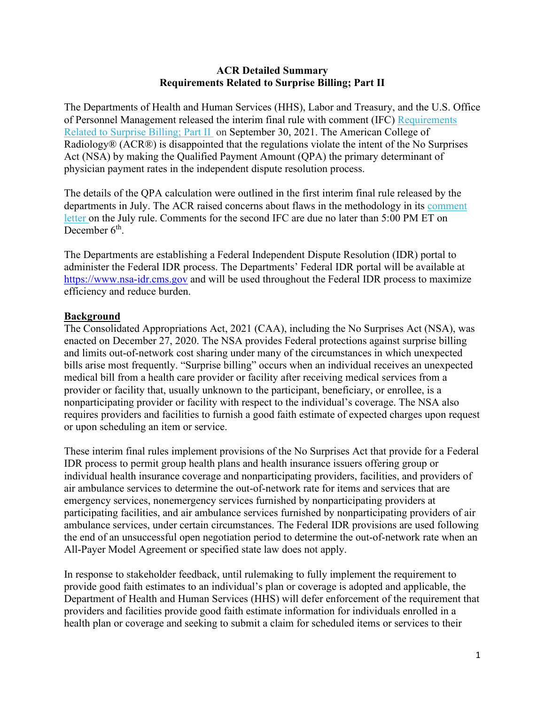### **ACR Detailed Summary Requirements Related to Surprise Billing; Part II**

The Departments of Health and Human Services (HHS), Labor and Treasury, and the U.S. Office of Personnel Management released the interim final rule with comment (IFC) [Requirements](https://public-inspection.federalregister.gov/2021-21441.pdf)  [Related to Surprise Billing; Part II](https://public-inspection.federalregister.gov/2021-21441.pdf) on September 30, 2021. The American College of Radiology® (ACR®) is disappointed that the regulations violate the intent of the No Surprises Act (NSA) by making the Qualified Payment Amount (QPA) the primary determinant of physician payment rates in the independent dispute resolution process.

The details of the QPA calculation were outlined in the first interim final rule released by the departments in July. The ACR raised concerns about flaws in the methodology in its [comment](https://www.acr.org/-/media/ACR/Files/Advocacy/AIA/ACR-Comment-SMB-IFR1-Final.pdf)  [letter](https://www.acr.org/-/media/ACR/Files/Advocacy/AIA/ACR-Comment-SMB-IFR1-Final.pdf) on the July rule. Comments for the second IFC are due no later than 5:00 PM ET on December  $6<sup>th</sup>$ .

The Departments are establishing a Federal Independent Dispute Resolution (IDR) portal to administer the Federal IDR process. The Departments' Federal IDR portal will be available at [https://www.nsa-idr.cms.gov](https://www.nsa-idr.cms.gov/) and will be used throughout the Federal IDR process to maximize efficiency and reduce burden.

### **Background**

The Consolidated Appropriations Act, 2021 (CAA), including the No Surprises Act (NSA), was enacted on December 27, 2020. The NSA provides Federal protections against surprise billing and limits out-of-network cost sharing under many of the circumstances in which unexpected bills arise most frequently. "Surprise billing" occurs when an individual receives an unexpected medical bill from a health care provider or facility after receiving medical services from a provider or facility that, usually unknown to the participant, beneficiary, or enrollee, is a nonparticipating provider or facility with respect to the individual's coverage. The NSA also requires providers and facilities to furnish a good faith estimate of expected charges upon request or upon scheduling an item or service.

These interim final rules implement provisions of the No Surprises Act that provide for a Federal IDR process to permit group health plans and health insurance issuers offering group or individual health insurance coverage and nonparticipating providers, facilities, and providers of air ambulance services to determine the out-of-network rate for items and services that are emergency services, nonemergency services furnished by nonparticipating providers at participating facilities, and air ambulance services furnished by nonparticipating providers of air ambulance services, under certain circumstances. The Federal IDR provisions are used following the end of an unsuccessful open negotiation period to determine the out-of-network rate when an All-Payer Model Agreement or specified state law does not apply.

In response to stakeholder feedback, until rulemaking to fully implement the requirement to provide good faith estimates to an individual's plan or coverage is adopted and applicable, the Department of Health and Human Services (HHS) will defer enforcement of the requirement that providers and facilities provide good faith estimate information for individuals enrolled in a health plan or coverage and seeking to submit a claim for scheduled items or services to their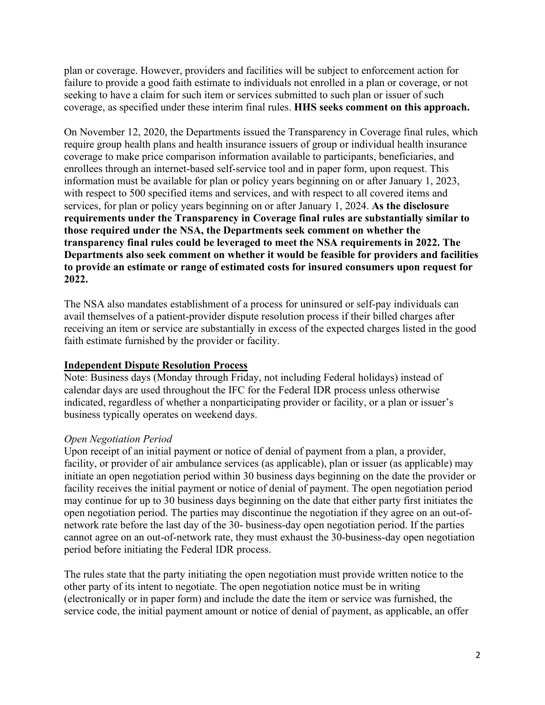plan or coverage. However, providers and facilities will be subject to enforcement action for failure to provide a good faith estimate to individuals not enrolled in a plan or coverage, or not seeking to have a claim for such item or services submitted to such plan or issuer of such coverage, as specified under these interim final rules. **HHS seeks comment on this approach.**

On November 12, 2020, the Departments issued the Transparency in Coverage final rules, which require group health plans and health insurance issuers of group or individual health insurance coverage to make price comparison information available to participants, beneficiaries, and enrollees through an internet-based self-service tool and in paper form, upon request. This information must be available for plan or policy years beginning on or after January 1, 2023, with respect to 500 specified items and services, and with respect to all covered items and services, for plan or policy years beginning on or after January 1, 2024. **As the disclosure requirements under the Transparency in Coverage final rules are substantially similar to those required under the NSA, the Departments seek comment on whether the transparency final rules could be leveraged to meet the NSA requirements in 2022. The Departments also seek comment on whether it would be feasible for providers and facilities to provide an estimate or range of estimated costs for insured consumers upon request for 2022.**

The NSA also mandates establishment of a process for uninsured or self-pay individuals can avail themselves of a patient-provider dispute resolution process if their billed charges after receiving an item or service are substantially in excess of the expected charges listed in the good faith estimate furnished by the provider or facility.

# **Independent Dispute Resolution Process**

Note: Business days (Monday through Friday, not including Federal holidays) instead of calendar days are used throughout the IFC for the Federal IDR process unless otherwise indicated, regardless of whether a nonparticipating provider or facility, or a plan or issuer's business typically operates on weekend days.

# *Open Negotiation Period*

Upon receipt of an initial payment or notice of denial of payment from a plan, a provider, facility, or provider of air ambulance services (as applicable), plan or issuer (as applicable) may initiate an open negotiation period within 30 business days beginning on the date the provider or facility receives the initial payment or notice of denial of payment. The open negotiation period may continue for up to 30 business days beginning on the date that either party first initiates the open negotiation period. The parties may discontinue the negotiation if they agree on an out-ofnetwork rate before the last day of the 30- business-day open negotiation period. If the parties cannot agree on an out-of-network rate, they must exhaust the 30-business-day open negotiation period before initiating the Federal IDR process.

The rules state that the party initiating the open negotiation must provide written notice to the other party of its intent to negotiate. The open negotiation notice must be in writing (electronically or in paper form) and include the date the item or service was furnished, the service code, the initial payment amount or notice of denial of payment, as applicable, an offer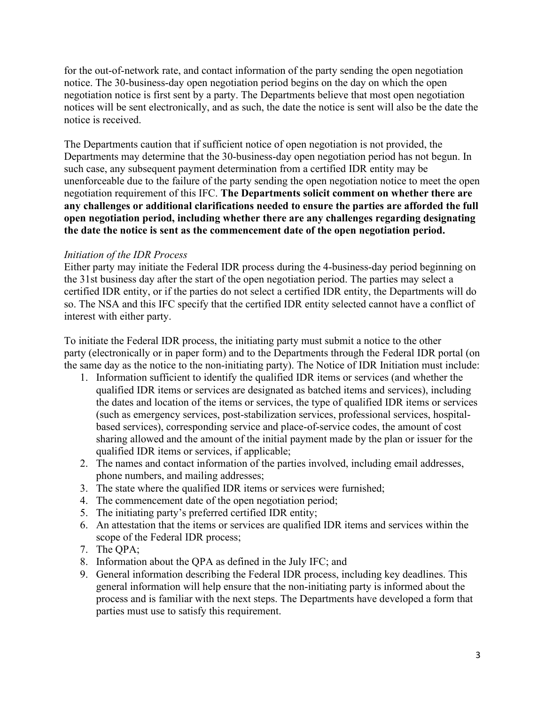for the out-of-network rate, and contact information of the party sending the open negotiation notice. The 30-business-day open negotiation period begins on the day on which the open negotiation notice is first sent by a party. The Departments believe that most open negotiation notices will be sent electronically, and as such, the date the notice is sent will also be the date the notice is received.

The Departments caution that if sufficient notice of open negotiation is not provided, the Departments may determine that the 30-business-day open negotiation period has not begun. In such case, any subsequent payment determination from a certified IDR entity may be unenforceable due to the failure of the party sending the open negotiation notice to meet the open negotiation requirement of this IFC. **The Departments solicit comment on whether there are any challenges or additional clarifications needed to ensure the parties are afforded the full open negotiation period, including whether there are any challenges regarding designating the date the notice is sent as the commencement date of the open negotiation period.**

### *Initiation of the IDR Process*

Either party may initiate the Federal IDR process during the 4-business-day period beginning on the 31st business day after the start of the open negotiation period. The parties may select a certified IDR entity, or if the parties do not select a certified IDR entity, the Departments will do so. The NSA and this IFC specify that the certified IDR entity selected cannot have a conflict of interest with either party.

To initiate the Federal IDR process, the initiating party must submit a notice to the other party (electronically or in paper form) and to the Departments through the Federal IDR portal (on the same day as the notice to the non-initiating party). The Notice of IDR Initiation must include:

- 1. Information sufficient to identify the qualified IDR items or services (and whether the qualified IDR items or services are designated as batched items and services), including the dates and location of the items or services, the type of qualified IDR items or services (such as emergency services, post-stabilization services, professional services, hospitalbased services), corresponding service and place-of-service codes, the amount of cost sharing allowed and the amount of the initial payment made by the plan or issuer for the qualified IDR items or services, if applicable;
- 2. The names and contact information of the parties involved, including email addresses, phone numbers, and mailing addresses;
- 3. The state where the qualified IDR items or services were furnished;
- 4. The commencement date of the open negotiation period;
- 5. The initiating party's preferred certified IDR entity;
- 6. An attestation that the items or services are qualified IDR items and services within the scope of the Federal IDR process;
- 7. The QPA;
- 8. Information about the QPA as defined in the July IFC; and
- 9. General information describing the Federal IDR process, including key deadlines. This general information will help ensure that the non-initiating party is informed about the process and is familiar with the next steps. The Departments have developed a form that parties must use to satisfy this requirement.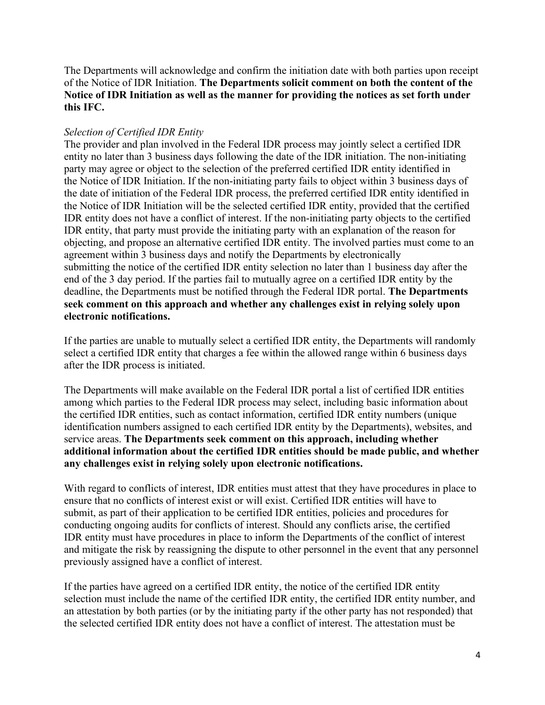The Departments will acknowledge and confirm the initiation date with both parties upon receipt of the Notice of IDR Initiation. **The Departments solicit comment on both the content of the Notice of IDR Initiation as well as the manner for providing the notices as set forth under this IFC.**

### *Selection of Certified IDR Entity*

The provider and plan involved in the Federal IDR process may jointly select a certified IDR entity no later than 3 business days following the date of the IDR initiation. The non-initiating party may agree or object to the selection of the preferred certified IDR entity identified in the Notice of IDR Initiation. If the non-initiating party fails to object within 3 business days of the date of initiation of the Federal IDR process, the preferred certified IDR entity identified in the Notice of IDR Initiation will be the selected certified IDR entity, provided that the certified IDR entity does not have a conflict of interest. If the non-initiating party objects to the certified IDR entity, that party must provide the initiating party with an explanation of the reason for objecting, and propose an alternative certified IDR entity. The involved parties must come to an agreement within 3 business days and notify the Departments by electronically submitting the notice of the certified IDR entity selection no later than 1 business day after the end of the 3 day period. If the parties fail to mutually agree on a certified IDR entity by the deadline, the Departments must be notified through the Federal IDR portal. **The Departments seek comment on this approach and whether any challenges exist in relying solely upon electronic notifications.**

If the parties are unable to mutually select a certified IDR entity, the Departments will randomly select a certified IDR entity that charges a fee within the allowed range within 6 business days after the IDR process is initiated.

The Departments will make available on the Federal IDR portal a list of certified IDR entities among which parties to the Federal IDR process may select, including basic information about the certified IDR entities, such as contact information, certified IDR entity numbers (unique identification numbers assigned to each certified IDR entity by the Departments), websites, and service areas. **The Departments seek comment on this approach, including whether additional information about the certified IDR entities should be made public, and whether any challenges exist in relying solely upon electronic notifications.**

With regard to conflicts of interest, IDR entities must attest that they have procedures in place to ensure that no conflicts of interest exist or will exist. Certified IDR entities will have to submit, as part of their application to be certified IDR entities, policies and procedures for conducting ongoing audits for conflicts of interest. Should any conflicts arise, the certified IDR entity must have procedures in place to inform the Departments of the conflict of interest and mitigate the risk by reassigning the dispute to other personnel in the event that any personnel previously assigned have a conflict of interest.

If the parties have agreed on a certified IDR entity, the notice of the certified IDR entity selection must include the name of the certified IDR entity, the certified IDR entity number, and an attestation by both parties (or by the initiating party if the other party has not responded) that the selected certified IDR entity does not have a conflict of interest. The attestation must be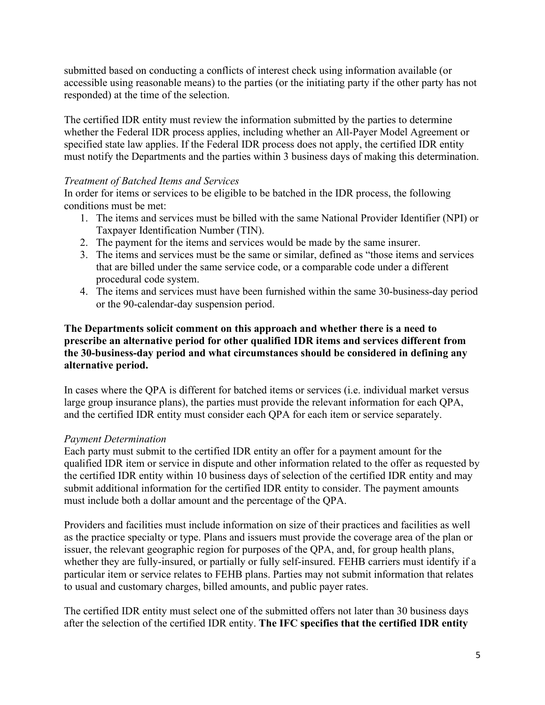submitted based on conducting a conflicts of interest check using information available (or accessible using reasonable means) to the parties (or the initiating party if the other party has not responded) at the time of the selection.

The certified IDR entity must review the information submitted by the parties to determine whether the Federal IDR process applies, including whether an All-Payer Model Agreement or specified state law applies. If the Federal IDR process does not apply, the certified IDR entity must notify the Departments and the parties within 3 business days of making this determination.

## *Treatment of Batched Items and Services*

In order for items or services to be eligible to be batched in the IDR process, the following conditions must be met:

- 1. The items and services must be billed with the same National Provider Identifier (NPI) or Taxpayer Identification Number (TIN).
- 2. The payment for the items and services would be made by the same insurer.
- 3. The items and services must be the same or similar, defined as "those items and services that are billed under the same service code, or a comparable code under a different procedural code system.
- 4. The items and services must have been furnished within the same 30-business-day period or the 90-calendar-day suspension period.

## **The Departments solicit comment on this approach and whether there is a need to prescribe an alternative period for other qualified IDR items and services different from the 30-business-day period and what circumstances should be considered in defining any alternative period.**

In cases where the QPA is different for batched items or services (i.e. individual market versus large group insurance plans), the parties must provide the relevant information for each QPA, and the certified IDR entity must consider each QPA for each item or service separately.

### *Payment Determination*

Each party must submit to the certified IDR entity an offer for a payment amount for the qualified IDR item or service in dispute and other information related to the offer as requested by the certified IDR entity within 10 business days of selection of the certified IDR entity and may submit additional information for the certified IDR entity to consider. The payment amounts must include both a dollar amount and the percentage of the QPA.

Providers and facilities must include information on size of their practices and facilities as well as the practice specialty or type. Plans and issuers must provide the coverage area of the plan or issuer, the relevant geographic region for purposes of the QPA, and, for group health plans, whether they are fully-insured, or partially or fully self-insured. FEHB carriers must identify if a particular item or service relates to FEHB plans. Parties may not submit information that relates to usual and customary charges, billed amounts, and public payer rates.

The certified IDR entity must select one of the submitted offers not later than 30 business days after the selection of the certified IDR entity. **The IFC specifies that the certified IDR entity**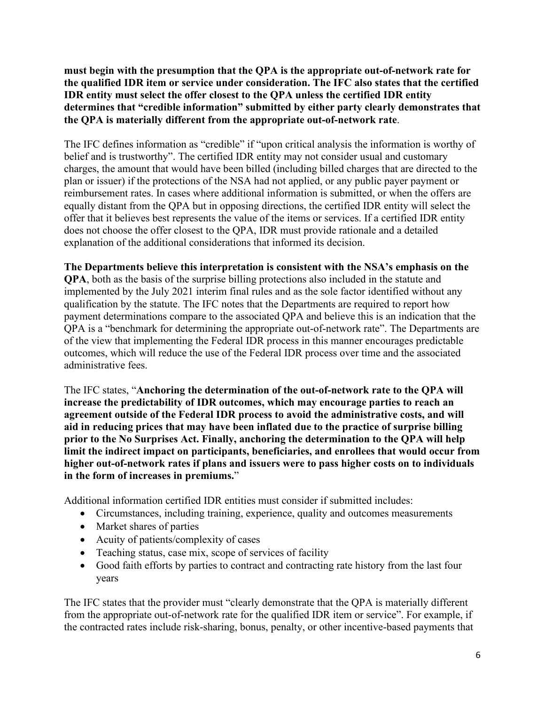**must begin with the presumption that the QPA is the appropriate out-of-network rate for the qualified IDR item or service under consideration. The IFC also states that the certified IDR entity must select the offer closest to the QPA unless the certified IDR entity determines that "credible information" submitted by either party clearly demonstrates that the QPA is materially different from the appropriate out-of-network rate**.

The IFC defines information as "credible" if "upon critical analysis the information is worthy of belief and is trustworthy". The certified IDR entity may not consider usual and customary charges, the amount that would have been billed (including billed charges that are directed to the plan or issuer) if the protections of the NSA had not applied, or any public payer payment or reimbursement rates. In cases where additional information is submitted, or when the offers are equally distant from the QPA but in opposing directions, the certified IDR entity will select the offer that it believes best represents the value of the items or services. If a certified IDR entity does not choose the offer closest to the QPA, IDR must provide rationale and a detailed explanation of the additional considerations that informed its decision.

### **The Departments believe this interpretation is consistent with the NSA's emphasis on the**

**QPA**, both as the basis of the surprise billing protections also included in the statute and implemented by the July 2021 interim final rules and as the sole factor identified without any qualification by the statute. The IFC notes that the Departments are required to report how payment determinations compare to the associated QPA and believe this is an indication that the QPA is a "benchmark for determining the appropriate out-of-network rate". The Departments are of the view that implementing the Federal IDR process in this manner encourages predictable outcomes, which will reduce the use of the Federal IDR process over time and the associated administrative fees.

The IFC states, "**Anchoring the determination of the out-of-network rate to the QPA will increase the predictability of IDR outcomes, which may encourage parties to reach an agreement outside of the Federal IDR process to avoid the administrative costs, and will aid in reducing prices that may have been inflated due to the practice of surprise billing prior to the No Surprises Act. Finally, anchoring the determination to the QPA will help limit the indirect impact on participants, beneficiaries, and enrollees that would occur from higher out-of-network rates if plans and issuers were to pass higher costs on to individuals in the form of increases in premiums.**"

Additional information certified IDR entities must consider if submitted includes:

- Circumstances, including training, experience, quality and outcomes measurements
- Market shares of parties
- Acuity of patients/complexity of cases
- Teaching status, case mix, scope of services of facility
- Good faith efforts by parties to contract and contracting rate history from the last four years

The IFC states that the provider must "clearly demonstrate that the QPA is materially different from the appropriate out-of-network rate for the qualified IDR item or service". For example, if the contracted rates include risk-sharing, bonus, penalty, or other incentive-based payments that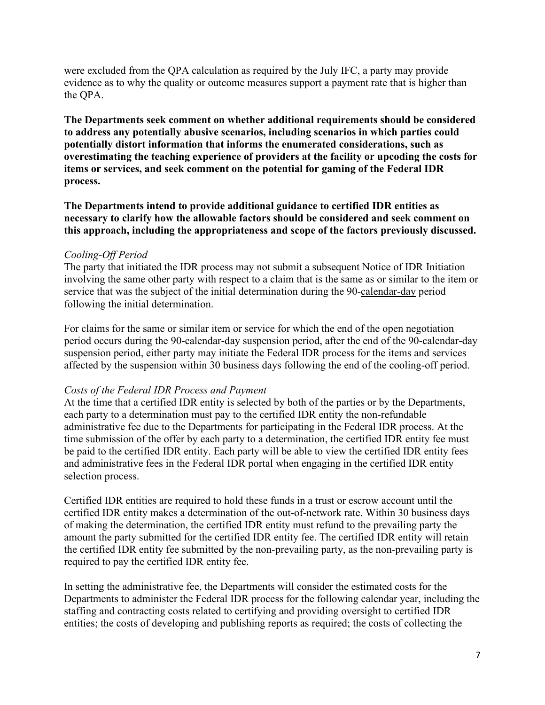were excluded from the QPA calculation as required by the July IFC, a party may provide evidence as to why the quality or outcome measures support a payment rate that is higher than the QPA.

**The Departments seek comment on whether additional requirements should be considered to address any potentially abusive scenarios, including scenarios in which parties could potentially distort information that informs the enumerated considerations, such as overestimating the teaching experience of providers at the facility or upcoding the costs for items or services, and seek comment on the potential for gaming of the Federal IDR process.**

**The Departments intend to provide additional guidance to certified IDR entities as necessary to clarify how the allowable factors should be considered and seek comment on this approach, including the appropriateness and scope of the factors previously discussed.**

### *Cooling-Off Period*

The party that initiated the IDR process may not submit a subsequent Notice of IDR Initiation involving the same other party with respect to a claim that is the same as or similar to the item or service that was the subject of the initial determination during the 90-calendar-day period following the initial determination.

For claims for the same or similar item or service for which the end of the open negotiation period occurs during the 90-calendar-day suspension period, after the end of the 90-calendar-day suspension period, either party may initiate the Federal IDR process for the items and services affected by the suspension within 30 business days following the end of the cooling-off period.

### *Costs of the Federal IDR Process and Payment*

At the time that a certified IDR entity is selected by both of the parties or by the Departments, each party to a determination must pay to the certified IDR entity the non-refundable administrative fee due to the Departments for participating in the Federal IDR process. At the time submission of the offer by each party to a determination, the certified IDR entity fee must be paid to the certified IDR entity. Each party will be able to view the certified IDR entity fees and administrative fees in the Federal IDR portal when engaging in the certified IDR entity selection process.

Certified IDR entities are required to hold these funds in a trust or escrow account until the certified IDR entity makes a determination of the out-of-network rate. Within 30 business days of making the determination, the certified IDR entity must refund to the prevailing party the amount the party submitted for the certified IDR entity fee. The certified IDR entity will retain the certified IDR entity fee submitted by the non-prevailing party, as the non-prevailing party is required to pay the certified IDR entity fee.

In setting the administrative fee, the Departments will consider the estimated costs for the Departments to administer the Federal IDR process for the following calendar year, including the staffing and contracting costs related to certifying and providing oversight to certified IDR entities; the costs of developing and publishing reports as required; the costs of collecting the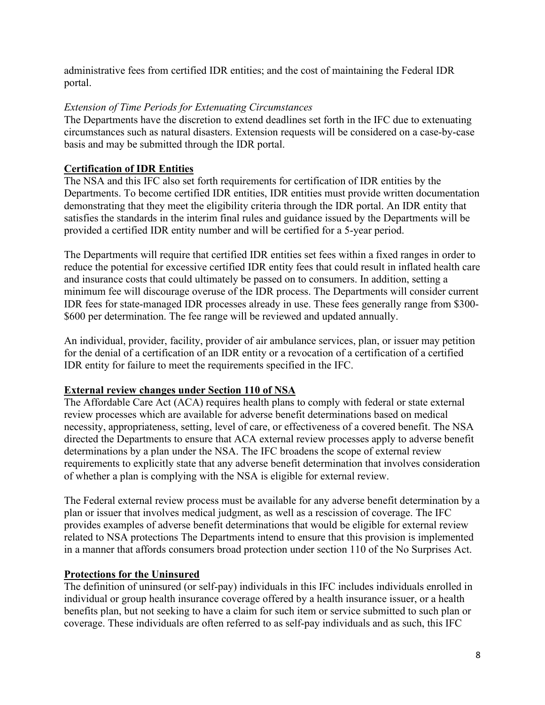administrative fees from certified IDR entities; and the cost of maintaining the Federal IDR portal.

## *Extension of Time Periods for Extenuating Circumstances*

The Departments have the discretion to extend deadlines set forth in the IFC due to extenuating circumstances such as natural disasters. Extension requests will be considered on a case-by-case basis and may be submitted through the IDR portal.

# **Certification of IDR Entities**

The NSA and this IFC also set forth requirements for certification of IDR entities by the Departments. To become certified IDR entities, IDR entities must provide written documentation demonstrating that they meet the eligibility criteria through the IDR portal. An IDR entity that satisfies the standards in the interim final rules and guidance issued by the Departments will be provided a certified IDR entity number and will be certified for a 5-year period.

The Departments will require that certified IDR entities set fees within a fixed ranges in order to reduce the potential for excessive certified IDR entity fees that could result in inflated health care and insurance costs that could ultimately be passed on to consumers. In addition, setting a minimum fee will discourage overuse of the IDR process. The Departments will consider current IDR fees for state-managed IDR processes already in use. These fees generally range from \$300- \$600 per determination. The fee range will be reviewed and updated annually.

An individual, provider, facility, provider of air ambulance services, plan, or issuer may petition for the denial of a certification of an IDR entity or a revocation of a certification of a certified IDR entity for failure to meet the requirements specified in the IFC.

# **External review changes under Section 110 of NSA**

The Affordable Care Act (ACA) requires health plans to comply with federal or state external review processes which are available for adverse benefit determinations based on medical necessity, appropriateness, setting, level of care, or effectiveness of a covered benefit. The NSA directed the Departments to ensure that ACA external review processes apply to adverse benefit determinations by a plan under the NSA. The IFC broadens the scope of external review requirements to explicitly state that any adverse benefit determination that involves consideration of whether a plan is complying with the NSA is eligible for external review.

The Federal external review process must be available for any adverse benefit determination by a plan or issuer that involves medical judgment, as well as a rescission of coverage. The IFC provides examples of adverse benefit determinations that would be eligible for external review related to NSA protections The Departments intend to ensure that this provision is implemented in a manner that affords consumers broad protection under section 110 of the No Surprises Act.

# **Protections for the Uninsured**

The definition of uninsured (or self-pay) individuals in this IFC includes individuals enrolled in individual or group health insurance coverage offered by a health insurance issuer, or a health benefits plan, but not seeking to have a claim for such item or service submitted to such plan or coverage. These individuals are often referred to as self-pay individuals and as such, this IFC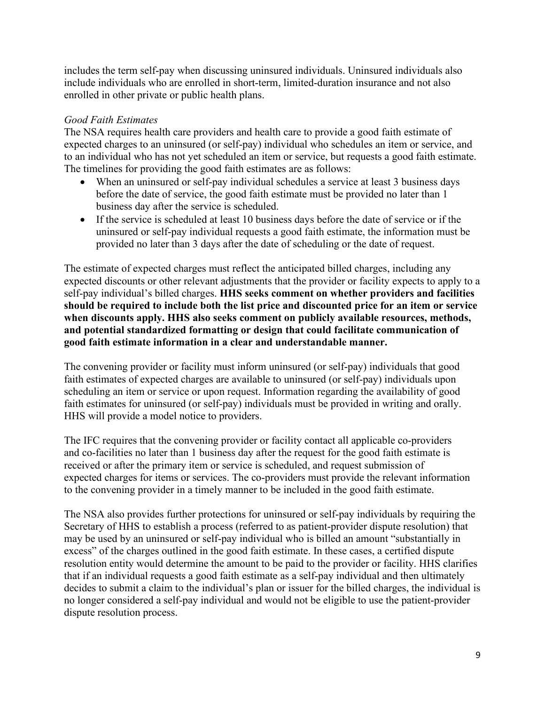includes the term self-pay when discussing uninsured individuals. Uninsured individuals also include individuals who are enrolled in short-term, limited-duration insurance and not also enrolled in other private or public health plans.

# *Good Faith Estimates*

The NSA requires health care providers and health care to provide a good faith estimate of expected charges to an uninsured (or self-pay) individual who schedules an item or service, and to an individual who has not yet scheduled an item or service, but requests a good faith estimate. The timelines for providing the good faith estimates are as follows:

- When an uninsured or self-pay individual schedules a service at least 3 business days before the date of service, the good faith estimate must be provided no later than 1 business day after the service is scheduled.
- If the service is scheduled at least 10 business days before the date of service or if the uninsured or self-pay individual requests a good faith estimate, the information must be provided no later than 3 days after the date of scheduling or the date of request.

The estimate of expected charges must reflect the anticipated billed charges, including any expected discounts or other relevant adjustments that the provider or facility expects to apply to a self-pay individual's billed charges. **HHS seeks comment on whether providers and facilities should be required to include both the list price and discounted price for an item or service when discounts apply. HHS also seeks comment on publicly available resources, methods, and potential standardized formatting or design that could facilitate communication of good faith estimate information in a clear and understandable manner.**

The convening provider or facility must inform uninsured (or self-pay) individuals that good faith estimates of expected charges are available to uninsured (or self-pay) individuals upon scheduling an item or service or upon request. Information regarding the availability of good faith estimates for uninsured (or self-pay) individuals must be provided in writing and orally. HHS will provide a model notice to providers.

The IFC requires that the convening provider or facility contact all applicable co-providers and co-facilities no later than 1 business day after the request for the good faith estimate is received or after the primary item or service is scheduled, and request submission of expected charges for items or services. The co-providers must provide the relevant information to the convening provider in a timely manner to be included in the good faith estimate.

The NSA also provides further protections for uninsured or self-pay individuals by requiring the Secretary of HHS to establish a process (referred to as patient-provider dispute resolution) that may be used by an uninsured or self-pay individual who is billed an amount "substantially in excess" of the charges outlined in the good faith estimate. In these cases, a certified dispute resolution entity would determine the amount to be paid to the provider or facility. HHS clarifies that if an individual requests a good faith estimate as a self-pay individual and then ultimately decides to submit a claim to the individual's plan or issuer for the billed charges, the individual is no longer considered a self-pay individual and would not be eligible to use the patient-provider dispute resolution process.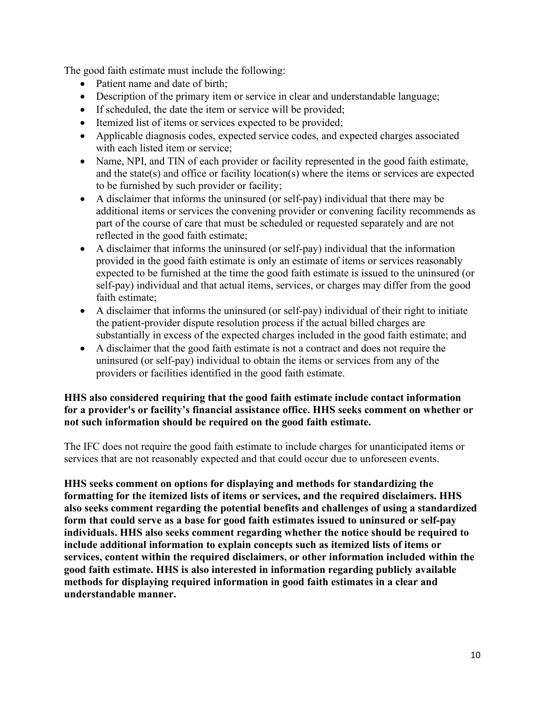The good faith estimate must include the following:

- Patient name and date of birth;
- Description of the primary item or service in clear and understandable language;
- If scheduled, the date the item or service will be provided;
- Itemized list of items or services expected to be provided;
- Applicable diagnosis codes, expected service codes, and expected charges associated with each listed item or service;
- Name, NPI, and TIN of each provider or facility represented in the good faith estimate, and the state(s) and office or facility location(s) where the items or services are expected to be furnished by such provider or facility;
- A disclaimer that informs the uninsured (or self-pay) individual that there may be additional items or services the convening provider or convening facility recommends as part of the course of care that must be scheduled or requested separately and are not reflected in the good faith estimate;
- A disclaimer that informs the uninsured (or self-pay) individual that the information provided in the good faith estimate is only an estimate of items or services reasonably expected to be furnished at the time the good faith estimate is issued to the uninsured (or self-pay) individual and that actual items, services, or charges may differ from the good faith estimate;
- A disclaimer that informs the uninsured (or self-pay) individual of their right to initiate the patient-provider dispute resolution process if the actual billed charges are substantially in excess of the expected charges included in the good faith estimate; and
- A disclaimer that the good faith estimate is not a contract and does not require the uninsured (or self-pay) individual to obtain the items or services from any of the providers or facilities identified in the good faith estimate.

## **HHS also considered requiring that the good faith estimate include contact information for a provider's or facility's financial assistance office. HHS seeks comment on whether or not such information should be required on the good faith estimate.**

The IFC does not require the good faith estimate to include charges for unanticipated items or services that are not reasonably expected and that could occur due to unforeseen events.

**HHS seeks comment on options for displaying and methods for standardizing the formatting for the itemized lists of items or services, and the required disclaimers. HHS also seeks comment regarding the potential benefits and challenges of using a standardized form that could serve as a base for good faith estimates issued to uninsured or self-pay individuals. HHS also seeks comment regarding whether the notice should be required to include additional information to explain concepts such as itemized lists of items or services, content within the required disclaimers, or other information included within the good faith estimate. HHS is also interested in information regarding publicly available methods for displaying required information in good faith estimates in a clear and understandable manner.**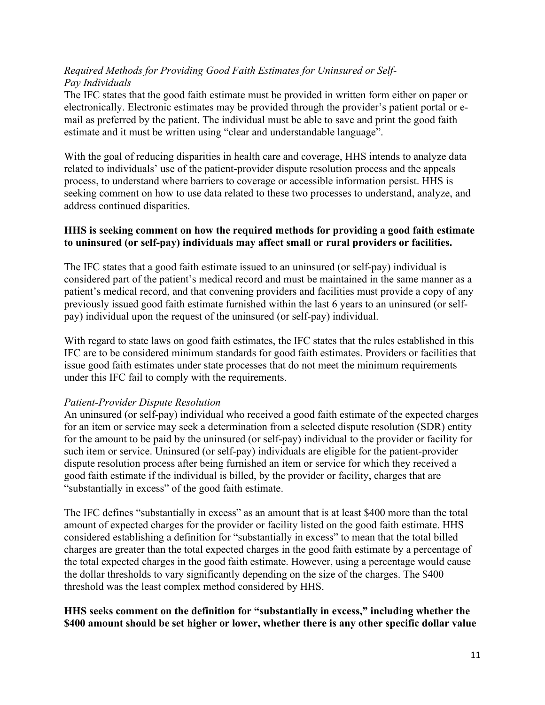## *Required Methods for Providing Good Faith Estimates for Uninsured or Self-Pay Individuals*

The IFC states that the good faith estimate must be provided in written form either on paper or electronically. Electronic estimates may be provided through the provider's patient portal or email as preferred by the patient. The individual must be able to save and print the good faith estimate and it must be written using "clear and understandable language".

With the goal of reducing disparities in health care and coverage, HHS intends to analyze data related to individuals' use of the patient-provider dispute resolution process and the appeals process, to understand where barriers to coverage or accessible information persist. HHS is seeking comment on how to use data related to these two processes to understand, analyze, and address continued disparities.

## **HHS is seeking comment on how the required methods for providing a good faith estimate to uninsured (or self-pay) individuals may affect small or rural providers or facilities.**

The IFC states that a good faith estimate issued to an uninsured (or self-pay) individual is considered part of the patient's medical record and must be maintained in the same manner as a patient's medical record, and that convening providers and facilities must provide a copy of any previously issued good faith estimate furnished within the last 6 years to an uninsured (or selfpay) individual upon the request of the uninsured (or self-pay) individual.

With regard to state laws on good faith estimates, the IFC states that the rules established in this IFC are to be considered minimum standards for good faith estimates. Providers or facilities that issue good faith estimates under state processes that do not meet the minimum requirements under this IFC fail to comply with the requirements.

### *Patient-Provider Dispute Resolution*

An uninsured (or self-pay) individual who received a good faith estimate of the expected charges for an item or service may seek a determination from a selected dispute resolution (SDR) entity for the amount to be paid by the uninsured (or self-pay) individual to the provider or facility for such item or service. Uninsured (or self-pay) individuals are eligible for the patient-provider dispute resolution process after being furnished an item or service for which they received a good faith estimate if the individual is billed, by the provider or facility, charges that are "substantially in excess" of the good faith estimate.

The IFC defines "substantially in excess" as an amount that is at least \$400 more than the total amount of expected charges for the provider or facility listed on the good faith estimate. HHS considered establishing a definition for "substantially in excess" to mean that the total billed charges are greater than the total expected charges in the good faith estimate by a percentage of the total expected charges in the good faith estimate. However, using a percentage would cause the dollar thresholds to vary significantly depending on the size of the charges. The \$400 threshold was the least complex method considered by HHS.

# **HHS seeks comment on the definition for "substantially in excess," including whether the \$400 amount should be set higher or lower, whether there is any other specific dollar value**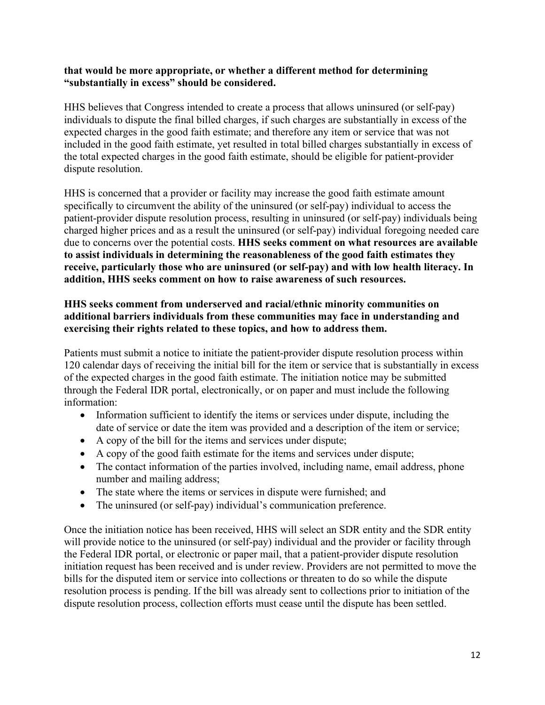### **that would be more appropriate, or whether a different method for determining "substantially in excess" should be considered.**

HHS believes that Congress intended to create a process that allows uninsured (or self-pay) individuals to dispute the final billed charges, if such charges are substantially in excess of the expected charges in the good faith estimate; and therefore any item or service that was not included in the good faith estimate, yet resulted in total billed charges substantially in excess of the total expected charges in the good faith estimate, should be eligible for patient-provider dispute resolution.

HHS is concerned that a provider or facility may increase the good faith estimate amount specifically to circumvent the ability of the uninsured (or self-pay) individual to access the patient-provider dispute resolution process, resulting in uninsured (or self-pay) individuals being charged higher prices and as a result the uninsured (or self-pay) individual foregoing needed care due to concerns over the potential costs. **HHS seeks comment on what resources are available to assist individuals in determining the reasonableness of the good faith estimates they receive, particularly those who are uninsured (or self-pay) and with low health literacy. In addition, HHS seeks comment on how to raise awareness of such resources.**

# **HHS seeks comment from underserved and racial/ethnic minority communities on additional barriers individuals from these communities may face in understanding and exercising their rights related to these topics, and how to address them.**

Patients must submit a notice to initiate the patient-provider dispute resolution process within 120 calendar days of receiving the initial bill for the item or service that is substantially in excess of the expected charges in the good faith estimate. The initiation notice may be submitted through the Federal IDR portal, electronically, or on paper and must include the following information:

- Information sufficient to identify the items or services under dispute, including the date of service or date the item was provided and a description of the item or service;
- A copy of the bill for the items and services under dispute;
- A copy of the good faith estimate for the items and services under dispute;
- The contact information of the parties involved, including name, email address, phone number and mailing address;
- The state where the items or services in dispute were furnished; and
- The uninsured (or self-pay) individual's communication preference.

Once the initiation notice has been received, HHS will select an SDR entity and the SDR entity will provide notice to the uninsured (or self-pay) individual and the provider or facility through the Federal IDR portal, or electronic or paper mail, that a patient-provider dispute resolution initiation request has been received and is under review. Providers are not permitted to move the bills for the disputed item or service into collections or threaten to do so while the dispute resolution process is pending. If the bill was already sent to collections prior to initiation of the dispute resolution process, collection efforts must cease until the dispute has been settled.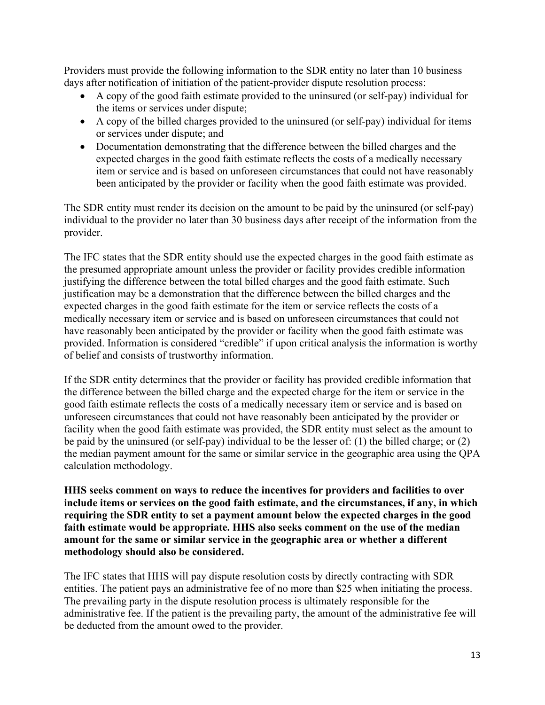Providers must provide the following information to the SDR entity no later than 10 business days after notification of initiation of the patient-provider dispute resolution process:

- A copy of the good faith estimate provided to the uninsured (or self-pay) individual for the items or services under dispute;
- A copy of the billed charges provided to the uninsured (or self-pay) individual for items or services under dispute; and
- Documentation demonstrating that the difference between the billed charges and the expected charges in the good faith estimate reflects the costs of a medically necessary item or service and is based on unforeseen circumstances that could not have reasonably been anticipated by the provider or facility when the good faith estimate was provided.

The SDR entity must render its decision on the amount to be paid by the uninsured (or self-pay) individual to the provider no later than 30 business days after receipt of the information from the provider.

The IFC states that the SDR entity should use the expected charges in the good faith estimate as the presumed appropriate amount unless the provider or facility provides credible information justifying the difference between the total billed charges and the good faith estimate. Such justification may be a demonstration that the difference between the billed charges and the expected charges in the good faith estimate for the item or service reflects the costs of a medically necessary item or service and is based on unforeseen circumstances that could not have reasonably been anticipated by the provider or facility when the good faith estimate was provided. Information is considered "credible" if upon critical analysis the information is worthy of belief and consists of trustworthy information.

If the SDR entity determines that the provider or facility has provided credible information that the difference between the billed charge and the expected charge for the item or service in the good faith estimate reflects the costs of a medically necessary item or service and is based on unforeseen circumstances that could not have reasonably been anticipated by the provider or facility when the good faith estimate was provided, the SDR entity must select as the amount to be paid by the uninsured (or self-pay) individual to be the lesser of: (1) the billed charge; or (2) the median payment amount for the same or similar service in the geographic area using the QPA calculation methodology.

**HHS seeks comment on ways to reduce the incentives for providers and facilities to over include items or services on the good faith estimate, and the circumstances, if any, in which requiring the SDR entity to set a payment amount below the expected charges in the good faith estimate would be appropriate. HHS also seeks comment on the use of the median amount for the same or similar service in the geographic area or whether a different methodology should also be considered.**

The IFC states that HHS will pay dispute resolution costs by directly contracting with SDR entities. The patient pays an administrative fee of no more than \$25 when initiating the process. The prevailing party in the dispute resolution process is ultimately responsible for the administrative fee. If the patient is the prevailing party, the amount of the administrative fee will be deducted from the amount owed to the provider.